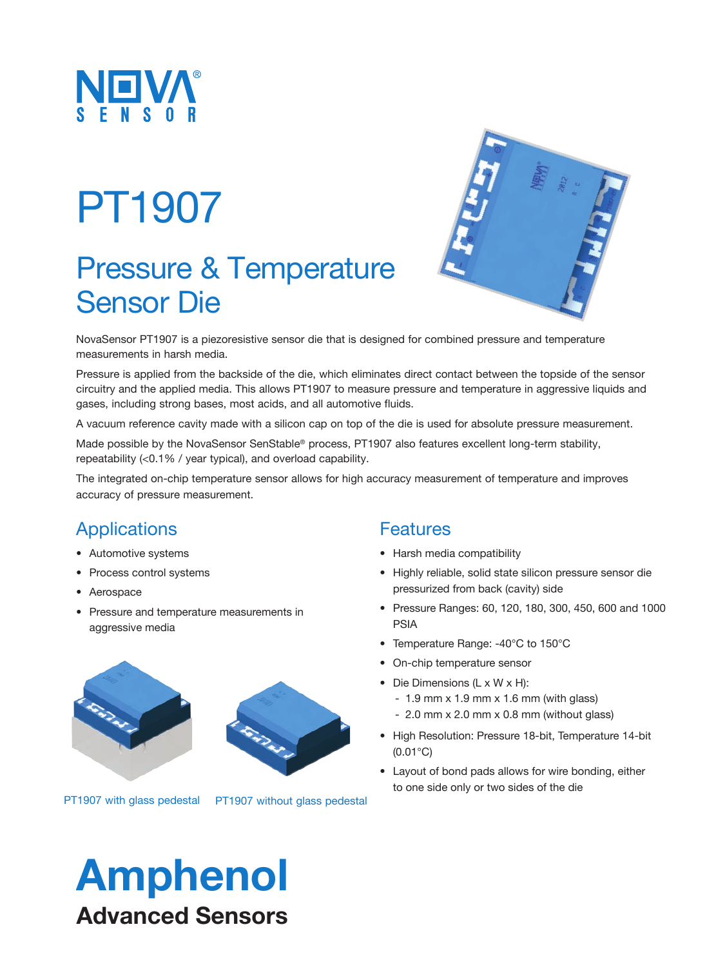

# PT1907

### Pressure & Temperature Sensor Die



NovaSensor PT1907 is a piezoresistive sensor die that is designed for combined pressure and temperature measurements in harsh media.

Pressure is applied from the backside of the die, which eliminates direct contact between the topside of the sensor circuitry and the applied media. This allows PT1907 to measure pressure and temperature in aggressive liquids and gases, including strong bases, most acids, and all automotive fluids.

A vacuum reference cavity made with a silicon cap on top of the die is used for absolute pressure measurement.

Made possible by the NovaSensor SenStable® process, PT1907 also features excellent long-term stability, repeatability (<0.1% / year typical), and overload capability.

The integrated on-chip temperature sensor allows for high accuracy measurement of temperature and improves accuracy of pressure measurement.

### **Applications**

- Automotive systems
- Process control systems
- Aerospace
- Pressure and temperature measurements in aggressive media



PT1907 with glass pedestal PT1907 without glass pedestal

#### **Features**

- Harsh media compatibility
- Highly reliable, solid state silicon pressure sensor die pressurized from back (cavity) side
- Pressure Ranges: 60, 120, 180, 300, 450, 600 and 1000 PSIA
- Temperature Range: -40°C to 150°C
- On-chip temperature sensor
- Die Dimensions (L x W x H):
	- $1.9$  mm x  $1.9$  mm x  $1.6$  mm (with glass)
	- 2.0 mm x 2.0 mm x 0.8 mm (without glass)
- High Resolution: Pressure 18-bit, Temperature 14-bit (0.01°C)
- Layout of bond pads allows for wire bonding, either to one side only or two sides of the die

## Amphenol Advanced Sensors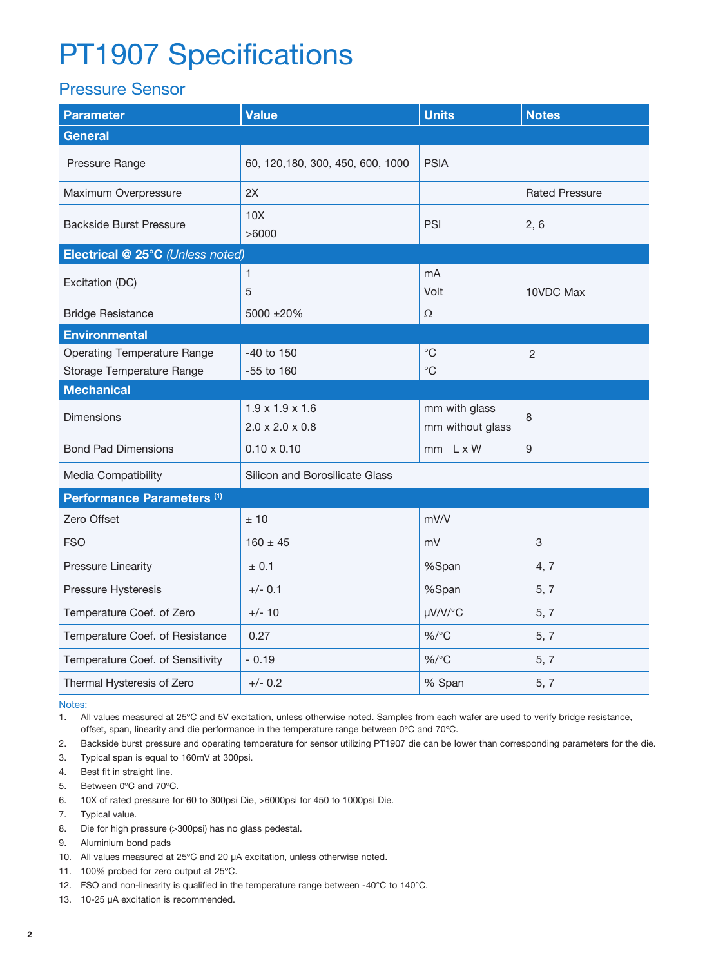### PT1907 Specifications

#### Pressure Sensor

| <b>Parameter</b>                                                | <b>Value</b>                                               | <b>Units</b>                      | <b>Notes</b>          |  |
|-----------------------------------------------------------------|------------------------------------------------------------|-----------------------------------|-----------------------|--|
| <b>General</b>                                                  |                                                            |                                   |                       |  |
| Pressure Range                                                  | 60, 120, 180, 300, 450, 600, 1000                          | <b>PSIA</b>                       |                       |  |
| Maximum Overpressure                                            | 2X                                                         |                                   | <b>Rated Pressure</b> |  |
| <b>Backside Burst Pressure</b>                                  | 10X<br>>6000                                               | PSI                               | 2, 6                  |  |
| Electrical @ 25°C (Unless noted)                                |                                                            |                                   |                       |  |
| Excitation (DC)                                                 | 1<br>5                                                     | mA<br>Volt                        | 10VDC Max             |  |
| <b>Bridge Resistance</b>                                        | 5000 ±20%                                                  | $\Omega$                          |                       |  |
| <b>Environmental</b>                                            |                                                            |                                   |                       |  |
| <b>Operating Temperature Range</b><br>Storage Temperature Range | $-40$ to $150$<br>$-55$ to 160                             | $^{\circ}$ C<br>$^{\circ}$ C      | $\overline{2}$        |  |
| <b>Mechanical</b>                                               |                                                            |                                   |                       |  |
| Dimensions                                                      | $1.9 \times 1.9 \times 1.6$<br>$2.0 \times 2.0 \times 0.8$ | mm with glass<br>mm without glass | 8                     |  |
| <b>Bond Pad Dimensions</b>                                      | $0.10 \times 0.10$                                         | $mm$ $L \times W$                 | 9                     |  |
| Media Compatibility                                             | Silicon and Borosilicate Glass                             |                                   |                       |  |
| Performance Parameters <sup>(1)</sup>                           |                                                            |                                   |                       |  |
| Zero Offset                                                     | ±10                                                        | mV/V                              |                       |  |
| <b>FSO</b>                                                      | $160 \pm 45$                                               | mV                                | 3                     |  |
| <b>Pressure Linearity</b>                                       | ± 0.1                                                      | %Span                             | 4, 7                  |  |
| Pressure Hysteresis                                             | $+/- 0.1$                                                  | %Span                             | 5, 7                  |  |
| Temperature Coef. of Zero                                       | $+/- 10$                                                   | µV/V/°C                           | 5, 7                  |  |
| Temperature Coef. of Resistance                                 | 0.27                                                       | $\%$ /°C                          | 5, 7                  |  |
| Temperature Coef. of Sensitivity                                | $-0.19$                                                    | $\%$ /°C                          | 5, 7                  |  |
| Thermal Hysteresis of Zero                                      | $+/- 0.2$                                                  | % Span                            | 5, 7                  |  |

Notes:

1. All values measured at 25ºC and 5V excitation, unless otherwise noted. Samples from each wafer are used to verify bridge resistance, offset, span, linearity and die performance in the temperature range between 0ºC and 70ºC.

2. Backside burst pressure and operating temperature for sensor utilizing PT1907 die can be lower than corresponding parameters for the die.

3. Typical span is equal to 160mV at 300psi.

- 4. Best fit in straight line.
- 5. Between 0ºC and 70ºC.
- 6. 10X of rated pressure for 60 to 300psi Die, >6000psi for 450 to 1000psi Die.
- 7. Typical value.
- 8. Die for high pressure (>300psi) has no glass pedestal.
- 9. Aluminium bond pads
- 10. All values measured at 25ºC and 20 µA excitation, unless otherwise noted.
- 11. 100% probed for zero output at 25ºC.
- 12. FSO and non-linearity is qualified in the temperature range between -40°C to 140°C.
- 13. 10-25 µA excitation is recommended.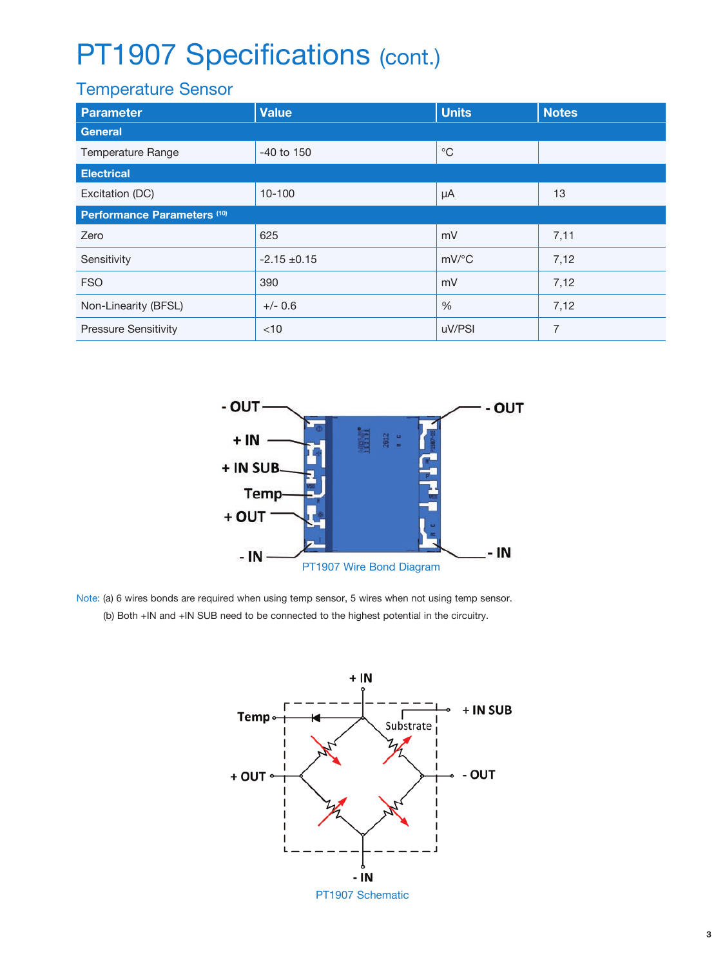### PT1907 Specifications (cont.)

### Temperature Sensor

| Parameter                              | <b>Value</b>     | <b>Units</b>        | <b>Notes</b>   |  |
|----------------------------------------|------------------|---------------------|----------------|--|
| General                                |                  |                     |                |  |
| Temperature Range                      | $-40$ to $150$   | $^{\circ}$ C        |                |  |
| <b>Electrical</b>                      |                  |                     |                |  |
| Excitation (DC)                        | $10 - 100$       | μA                  | 13             |  |
| Performance Parameters <sup>(10)</sup> |                  |                     |                |  |
| Zero                                   | 625              | mV                  | 7,11           |  |
| Sensitivity                            | $-2.15 \pm 0.15$ | $mV$ <sup>o</sup> C | 7,12           |  |
| <b>FSO</b>                             | 390              | mV                  | 7,12           |  |
| Non-Linearity (BFSL)                   | $+/- 0.6$        | $\%$                | 7,12           |  |
| <b>Pressure Sensitivity</b>            | $<$ 10           | uV/PSI              | $\overline{7}$ |  |



Note: (a) 6 wires bonds are required when using temp sensor, 5 wires when not using temp sensor. (b) Both +IN and +IN SUB need to be connected to the highest potential in the circuitry.



PT1907 Schematic